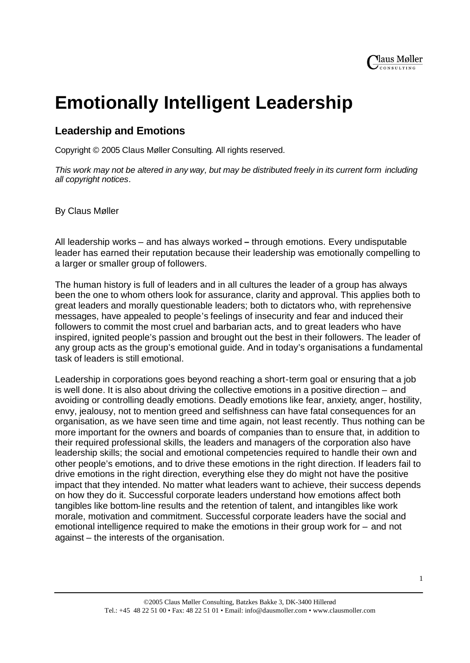# **Emotionally Intelligent Leadership**

# **Leadership and Emotions**

Copyright © 2005 Claus Møller Consulting. All rights reserved.

*This work may not be altered in any way, but may be distributed freely in its current form including all copyright notices.*

By Claus Møller

All leadership works – and has always worked **–** through emotions. Every undisputable leader has earned their reputation because their leadership was emotionally compelling to a larger or smaller group of followers.

The human history is full of leaders and in all cultures the leader of a group has always been the one to whom others look for assurance, clarity and approval. This applies both to great leaders and morally questionable leaders; both to dictators who, with reprehensive messages, have appealed to people's feelings of insecurity and fear and induced their followers to commit the most cruel and barbarian acts, and to great leaders who have inspired, ignited people's passion and brought out the best in their followers. The leader of any group acts as the group's emotional guide. And in today's organisations a fundamental task of leaders is still emotional.

Leadership in corporations goes beyond reaching a short-term goal or ensuring that a job is well done. It is also about driving the collective emotions in a positive direction – and avoiding or controlling deadly emotions. Deadly emotions like fear, anxiety, anger, hostility, envy, jealousy, not to mention greed and selfishness can have fatal consequences for an organisation, as we have seen time and time again, not least recently. Thus nothing can be more important for the owners and boards of companies than to ensure that, in addition to their required professional skills, the leaders and managers of the corporation also have leadership skills; the social and emotional competencies required to handle their own and other people's emotions, and to drive these emotions in the right direction. If leaders fail to drive emotions in the right direction, everything else they do might not have the positive impact that they intended. No matter what leaders want to achieve, their success depends on how they do it. Successful corporate leaders understand how emotions affect both tangibles like bottom-line results and the retention of talent, and intangibles like work morale, motivation and commitment. Successful corporate leaders have the social and emotional intelligence required to make the emotions in their group work for – and not against – the interests of the organisation.

1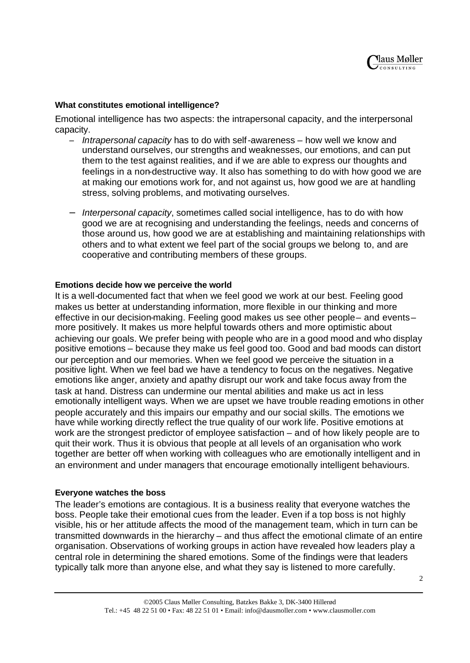# **What constitutes emotional intelligence?**

Emotional intelligence has two aspects: the intrapersonal capacity, and the interpersonal capacity.

- *Intrapersonal capacity* has to do with self-awareness how well we know and understand ourselves, our strengths and weaknesses, our emotions, and can put them to the test against realities, and if we are able to express our thoughts and feelings in a non-destructive way. It also has something to do with how good we are at making our emotions work for, and not against us, how good we are at handling stress, solving problems, and motivating ourselves.
- − *Interpersonal capacity*, sometimes called social intelligence, has to do with how good we are at recognising and understanding the feelings, needs and concerns of those around us, how good we are at establishing and maintaining relationships with others and to what extent we feel part of the social groups we belong to, and are cooperative and contributing members of these groups.

## **Emotions decide how we perceive the world**

It is a well-documented fact that when we feel good we work at our best. Feeling good makes us better at understanding information, more flexible in our thinking and more effective in our decision-making. Feeling good makes us see other people- and eventsmore positively. It makes us more helpful towards others and more optimistic about achieving our goals. We prefer being with people who are in a good mood and who display positive emotions – because they make us feel good too. Good and bad moods can distort our perception and our memories. When we feel good we perceive the situation in a positive light. When we feel bad we have a tendency to focus on the negatives. Negative emotions like anger, anxiety and apathy disrupt our work and take focus away from the task at hand. Distress can undermine our mental abilities and make us act in less emotionally intelligent ways. When we are upset we have trouble reading emotions in other people accurately and this impairs our empathy and our social skills. The emotions we have while working directly reflect the true quality of our work life. Positive emotions at work are the strongest predictor of employee satisfaction – and of how likely people are to quit their work. Thus it is obvious that people at all levels of an organisation who work together are better off when working with colleagues who are emotionally intelligent and in an environment and under managers that encourage emotionally intelligent behaviours.

#### **Everyone watches the boss**

The leader's emotions are contagious. It is a business reality that everyone watches the boss. People take their emotional cues from the leader. Even if a top boss is not highly visible, his or her attitude affects the mood of the management team, which in turn can be transmitted downwards in the hierarchy – and thus affect the emotional climate of an entire organisation. Observations of working groups in action have revealed how leaders play a central role in determining the shared emotions. Some of the findings were that leaders typically talk more than anyone else, and what they say is listened to more carefully.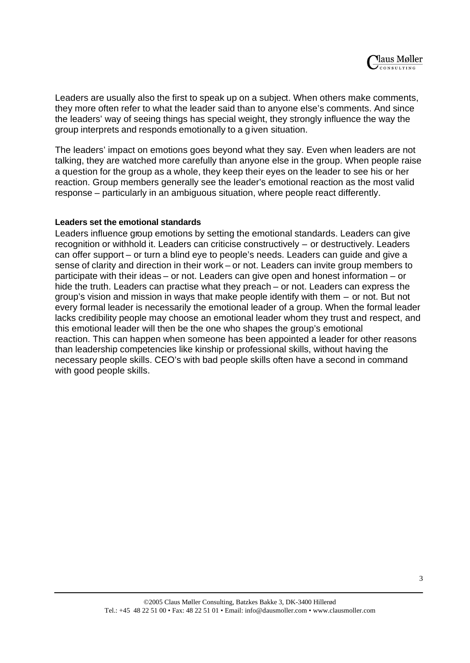Leaders are usually also the first to speak up on a subject. When others make comments, they more often refer to what the leader said than to anyone else's comments. And since the leaders' way of seeing things has special weight, they strongly influence the way the group interprets and responds emotionally to a given situation.

The leaders' impact on emotions goes beyond what they say. Even when leaders are not talking, they are watched more carefully than anyone else in the group. When people raise a question for the group as a whole, they keep their eyes on the leader to see his or her reaction. Group members generally see the leader's emotional reaction as the most valid response – particularly in an ambiguous situation, where people react differently.

## **Leaders set the emotional standards**

Leaders influence group emotions by setting the emotional standards. Leaders can give recognition or withhold it. Leaders can criticise constructively – or destructively. Leaders can offer support – or turn a blind eye to people's needs. Leaders can guide and give a sense of clarity and direction in their work – or not. Leaders can invite group members to participate with their ideas – or not. Leaders can give open and honest information – or hide the truth. Leaders can practise what they preach – or not. Leaders can express the group's vision and mission in ways that make people identify with them – or not. But not every formal leader is necessarily the emotional leader of a group. When the formal leader lacks credibility people may choose an emotional leader whom they trust and respect, and this emotional leader will then be the one who shapes the group's emotional reaction. This can happen when someone has been appointed a leader for other reasons than leadership competencies like kinship or professional skills, without having the necessary people skills. CEO's with bad people skills often have a second in command with good people skills.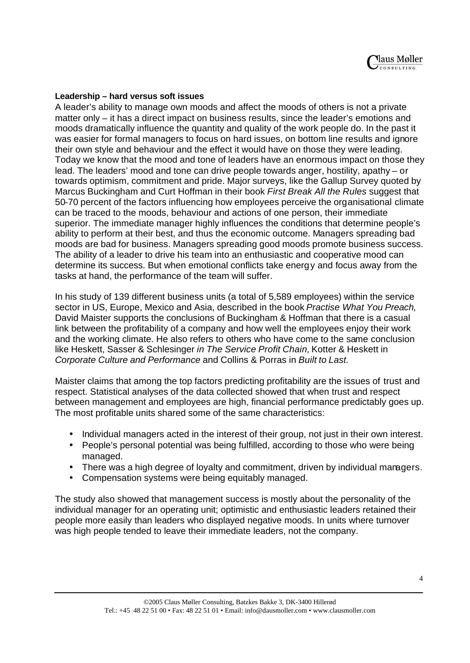# **Leadership – hard versus soft issues**

A leader's ability to manage own moods and affect the moods of others is not a private matter only – it has a direct impact on business results, since the leader's emotions and moods dramatically influence the quantity and quality of the work people do. In the past it was easier for formal managers to focus on hard issues, on bottom line results and ignore their own style and behaviour and the effect it would have on those they were leading. Today we know that the mood and tone of leaders have an enormous impact on those they lead. The leaders' mood and tone can drive people towards anger, hostility, apathy – or towards optimism, commitment and pride. Major surveys, like the Gallup Survey quoted by Marcus Buckingham and Curt Hoffman in their book *First Break All the Rules* suggest that 50-70 percent of the factors influencing how employees perceive the organisational climate can be traced to the moods, behaviour and actions of one person, their immediate superior. The immediate manager highly influences the conditions that determine people's ability to perform at their best, and thus the economic outcome. Managers spreading bad moods are bad for business. Managers spreading good moods promote business success. The ability of a leader to drive his team into an enthusiastic and cooperative mood can determine its success. But when emotional conflicts take energy and focus away from the tasks at hand, the performance of the team will suffer.

In his study of 139 different business units (a total of 5,589 employees) within the service sector in US, Europe, Mexico and Asia, described in the book *Practise What You Preach,* David Maister supports the conclusions of Buckingham & Hoffman that there is a casual link between the profitability of a company and how well the employees enjoy their work and the working climate. He also refers to others who have come to the same conclusion like Heskett, Sasser & Schlesinger *in The Service Profit Chain,* Kotter & Heskett in *Corporate Culture and Performance* and Collins & Porras in *Built to Last.*

Maister claims that among the top factors predicting profitability are the issues of trust and respect. Statistical analyses of the data collected showed that when trust and respect between management and employees are high, financial performance predictably goes up. The most profitable units shared some of the same characteristics:

- Individual managers acted in the interest of their group, not just in their own interest.
- People's personal potential was being fulfilled, according to those who were being managed.
- There was a high degree of loyalty and commitment, driven by individual managers.
- Compensation systems were being equitably managed.

The study also showed that management success is mostly about the personality of the individual manager for an operating unit; optimistic and enthusiastic leaders retained their people more easily than leaders who displayed negative moods. In units where turnover was high people tended to leave their immediate leaders, not the company.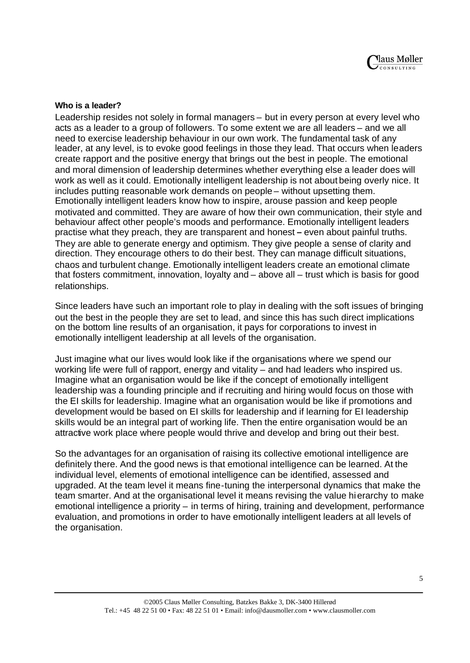#### **Who is a leader?**

Leadership resides not solely in formal managers – but in every person at every level who acts as a leader to a group of followers. To some extent we are all leaders – and we all need to exercise leadership behaviour in our own work. The fundamental task of any leader, at any level, is to evoke good feelings in those they lead. That occurs when leaders create rapport and the positive energy that brings out the best in people. The emotional and moral dimension of leadership determines whether everything else a leader does will work as well as it could. Emotionally intelligent leadership is not about being overly nice. It includes putting reasonable work demands on people – without upsetting them. Emotionally intelligent leaders know how to inspire, arouse passion and keep people motivated and committed. They are aware of how their own communication, their style and behaviour affect other people's moods and performance. Emotionally intelligent leaders practise what they preach, they are transparent and honest **–** even about painful truths. They are able to generate energy and optimism. They give people a sense of clarity and direction. They encourage others to do their best. They can manage difficult situations, chaos and turbulent change. Emotionally intelligent leaders create an emotional climate that fosters commitment, innovation, loyalty and – above all – trust which is basis for good relationships.

Since leaders have such an important role to play in dealing with the soft issues of bringing out the best in the people they are set to lead, and since this has such direct implications on the bottom line results of an organisation, it pays for corporations to invest in emotionally intelligent leadership at all levels of the organisation.

Just imagine what our lives would look like if the organisations where we spend our working life were full of rapport, energy and vitality – and had leaders who inspired us. Imagine what an organisation would be like if the concept of emotionally intelligent leadership was a founding principle and if recruiting and hiring would focus on those with the EI skills for leadership. Imagine what an organisation would be like if promotions and development would be based on EI skills for leadership and if learning for EI leadership skills would be an integral part of working life. Then the entire organisation would be an attractive work place where people would thrive and develop and bring out their best.

So the advantages for an organisation of raising its collective emotional intelligence are definitely there. And the good news is that emotional intelligence can be learned. At the individual level, elements of emotional intelligence can be identified, assessed and upgraded. At the team level it means fine-tuning the interpersonal dynamics that make the team smarter. And at the organisational level it means revising the value hierarchy to make emotional intelligence a priority – in terms of hiring, training and development, performance evaluation, and promotions in order to have emotionally intelligent leaders at all levels of the organisation.